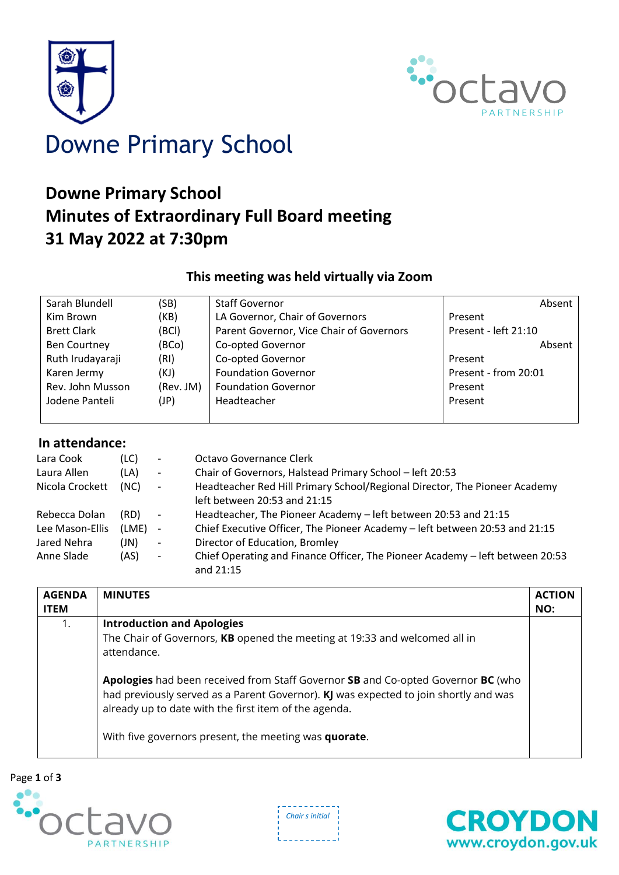



## **Downe Primary School Minutes of Extraordinary Full Board meeting 31 May 2022 at 7:30pm**

## **This meeting was held virtually via Zoom**

| Sarah Blundell      | (SB)      | <b>Staff Governor</b>                    | Absent               |
|---------------------|-----------|------------------------------------------|----------------------|
| Kim Brown           | (KB)      | LA Governor, Chair of Governors          | Present              |
| <b>Brett Clark</b>  | (BCI)     | Parent Governor, Vice Chair of Governors | Present - left 21:10 |
| <b>Ben Courtney</b> | (BCo)     | Co-opted Governor                        | Absent               |
| Ruth Irudayaraji    | (RI)      | Co-opted Governor                        | Present              |
| Karen Jermy         | (KJ)      | <b>Foundation Governor</b>               | Present - from 20:01 |
| Rev. John Musson    | (Rev. JM) | <b>Foundation Governor</b>               | Present              |
| Jodene Panteli      | (JP)      | Headteacher                              | Present              |
|                     |           |                                          |                      |

## **In attendance:**

| Lara Cook       | (LC)  | $\overline{\phantom{a}}$ | Octavo Governance Clerk                                                                    |
|-----------------|-------|--------------------------|--------------------------------------------------------------------------------------------|
| Laura Allen     | (LA)  | $\overline{\phantom{a}}$ | Chair of Governors, Halstead Primary School - left 20:53                                   |
| Nicola Crockett | (NC)  | $\overline{\phantom{a}}$ | Headteacher Red Hill Primary School/Regional Director, The Pioneer Academy                 |
|                 |       |                          | left between 20:53 and 21:15                                                               |
| Rebecca Dolan   | (RD)  | $\sim$                   | Headteacher, The Pioneer Academy - left between 20:53 and 21:15                            |
| Lee Mason-Ellis | (LME) | $\overline{\phantom{a}}$ | Chief Executive Officer, The Pioneer Academy - left between 20:53 and 21:15                |
| Jared Nehra     | (JN)  | $\overline{\phantom{a}}$ | Director of Education, Bromley                                                             |
| Anne Slade      | (AS)  | $\overline{\phantom{a}}$ | Chief Operating and Finance Officer, The Pioneer Academy - left between 20:53<br>and 21:15 |

| <b>AGENDA</b><br><b>ITEM</b> | <b>MINUTES</b>                                                                                                                                                                                                                                                                                                                                                                                                               | <b>ACTION</b><br>NO: |
|------------------------------|------------------------------------------------------------------------------------------------------------------------------------------------------------------------------------------------------------------------------------------------------------------------------------------------------------------------------------------------------------------------------------------------------------------------------|----------------------|
| 1.                           | <b>Introduction and Apologies</b><br>The Chair of Governors, KB opened the meeting at 19:33 and welcomed all in<br>attendance.<br>Apologies had been received from Staff Governor SB and Co-opted Governor BC (who<br>had previously served as a Parent Governor). KJ was expected to join shortly and was<br>already up to date with the first item of the agenda.<br>With five governors present, the meeting was quorate. |                      |



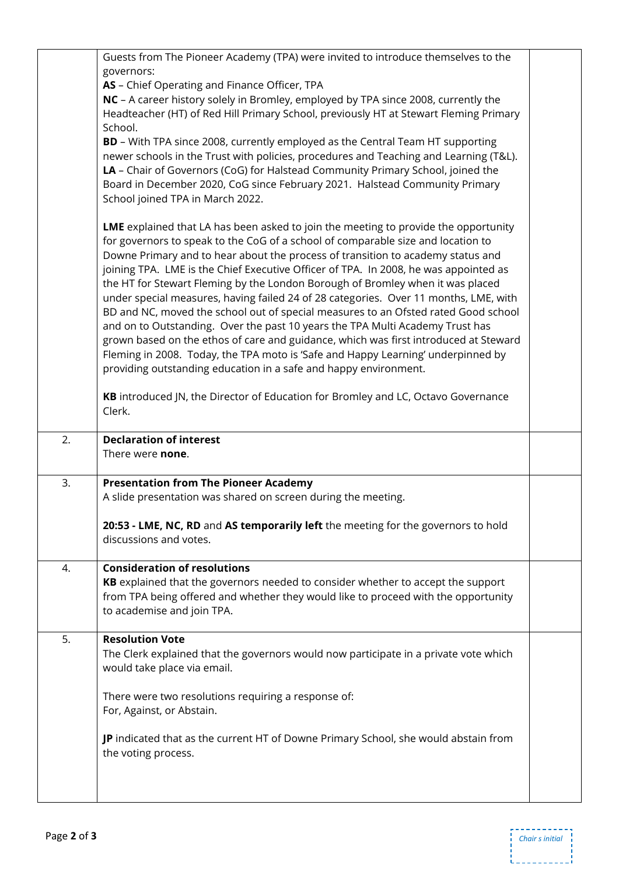|    | Guests from The Pioneer Academy (TPA) were invited to introduce themselves to the                             |  |
|----|---------------------------------------------------------------------------------------------------------------|--|
|    | governors:                                                                                                    |  |
|    | AS - Chief Operating and Finance Officer, TPA                                                                 |  |
|    | NC - A career history solely in Bromley, employed by TPA since 2008, currently the                            |  |
|    | Headteacher (HT) of Red Hill Primary School, previously HT at Stewart Fleming Primary                         |  |
|    | School.                                                                                                       |  |
|    | <b>BD</b> - With TPA since 2008, currently employed as the Central Team HT supporting                         |  |
|    | newer schools in the Trust with policies, procedures and Teaching and Learning (T&L).                         |  |
|    | LA - Chair of Governors (CoG) for Halstead Community Primary School, joined the                               |  |
|    | Board in December 2020, CoG since February 2021. Halstead Community Primary                                   |  |
|    | School joined TPA in March 2022.                                                                              |  |
|    | LME explained that LA has been asked to join the meeting to provide the opportunity                           |  |
|    | for governors to speak to the CoG of a school of comparable size and location to                              |  |
|    | Downe Primary and to hear about the process of transition to academy status and                               |  |
|    | joining TPA. LME is the Chief Executive Officer of TPA. In 2008, he was appointed as                          |  |
|    | the HT for Stewart Fleming by the London Borough of Bromley when it was placed                                |  |
|    | under special measures, having failed 24 of 28 categories. Over 11 months, LME, with                          |  |
|    | BD and NC, moved the school out of special measures to an Ofsted rated Good school                            |  |
|    | and on to Outstanding. Over the past 10 years the TPA Multi Academy Trust has                                 |  |
|    | grown based on the ethos of care and guidance, which was first introduced at Steward                          |  |
|    | Fleming in 2008. Today, the TPA moto is 'Safe and Happy Learning' underpinned by                              |  |
|    | providing outstanding education in a safe and happy environment.                                              |  |
|    |                                                                                                               |  |
|    | KB introduced JN, the Director of Education for Bromley and LC, Octavo Governance                             |  |
|    | Clerk.                                                                                                        |  |
|    |                                                                                                               |  |
|    |                                                                                                               |  |
| 2. | <b>Declaration of interest</b>                                                                                |  |
|    | There were <b>none</b> .                                                                                      |  |
| 3. |                                                                                                               |  |
|    | <b>Presentation from The Pioneer Academy</b><br>A slide presentation was shared on screen during the meeting. |  |
|    |                                                                                                               |  |
|    | 20:53 - LME, NC, RD and AS temporarily left the meeting for the governors to hold                             |  |
|    | discussions and votes.                                                                                        |  |
|    |                                                                                                               |  |
| 4. | <b>Consideration of resolutions</b>                                                                           |  |
|    | KB explained that the governors needed to consider whether to accept the support                              |  |
|    | from TPA being offered and whether they would like to proceed with the opportunity                            |  |
|    | to academise and join TPA.                                                                                    |  |
| 5. | <b>Resolution Vote</b>                                                                                        |  |
|    | The Clerk explained that the governors would now participate in a private vote which                          |  |
|    | would take place via email.                                                                                   |  |
|    |                                                                                                               |  |
|    | There were two resolutions requiring a response of:                                                           |  |
|    | For, Against, or Abstain.                                                                                     |  |
|    |                                                                                                               |  |
|    | JP indicated that as the current HT of Downe Primary School, she would abstain from                           |  |
|    | the voting process.                                                                                           |  |
|    |                                                                                                               |  |
|    |                                                                                                               |  |

 $-$